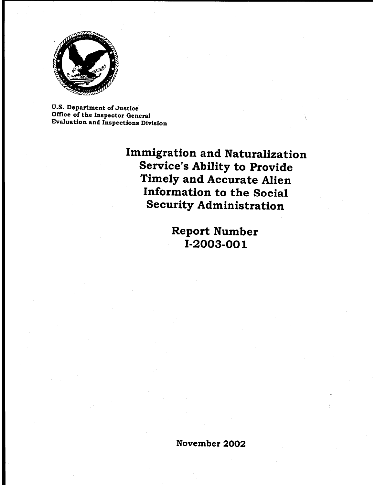

**U.S. Department of Justice** Office of the Inspector General Evaluation and Inspections Division

> **Immigration and Naturalization Service's Ability to Provide** Timely and Accurate Alien Information to the Social **Security Administration**

> > **Report Number** I-2003-001

November 2002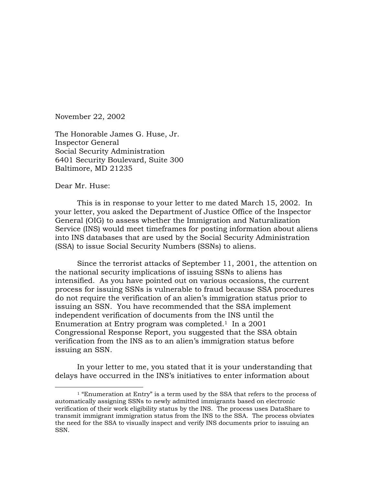November 22, 2002

The Honorable James G. Huse, Jr. Inspector General Social Security Administration 6401 Security Boulevard, Suite 300 Baltimore, MD 21235

Dear Mr. Huse:

This is in response to your letter to me dated March 15, 2002. In your letter, you asked the Department of Justice Office of the Inspector General (OIG) to assess whether the Immigration and Naturalization Service (INS) would meet timeframes for posting information about aliens into INS databases that are used by the Social Security Administration (SSA) to issue Social Security Numbers (SSNs) to aliens.

 Since the terrorist attacks of September 11, 2001, the attention on the national security implications of issuing SSNs to aliens has intensified. As you have pointed out on various occasions, the current process for issuing SSNs is vulnerable to fraud because SSA procedures do not require the verification of an alien's immigration status prior to issuing an SSN. You have recommended that the SSA implement independent verification of documents from the INS until the Enumeration at Entry program was completed.<sup>1</sup> In a 2001 Congressional Response Report, you suggested that the SSA obtain verification from the INS as to an alien's immigration status before issuing an SSN.

 In your letter to me, you stated that it is your understanding that delays have occurred in the INS's initiatives to enter information about

<sup>&</sup>lt;sup>1</sup> "Enumeration at Entry" is a term used by the SSA that refers to the process of automatically assigning SSNs to newly admitted immigrants based on electronic verification of their work eligibility status by the INS. The process uses DataShare to transmit immigrant immigration status from the INS to the SSA. The process obviates the need for the SSA to visually inspect and verify INS documents prior to issuing an SSN.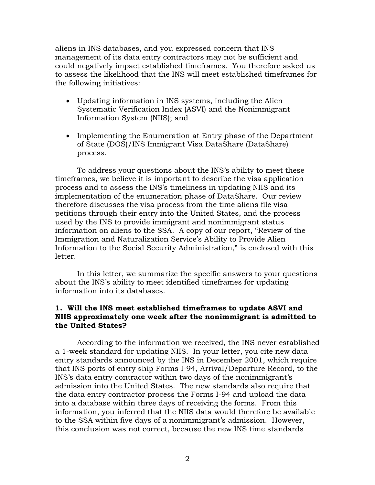aliens in INS databases, and you expressed concern that INS management of its data entry contractors may not be sufficient and could negatively impact established timeframes. You therefore asked us to assess the likelihood that the INS will meet established timeframes for the following initiatives:

- Updating information in INS systems, including the Alien Systematic Verification Index (ASVI) and the Nonimmigrant Information System (NIIS); and
- Implementing the Enumeration at Entry phase of the Department of State (DOS)/INS Immigrant Visa DataShare (DataShare) process.

To address your questions about the INS's ability to meet these timeframes, we believe it is important to describe the visa application process and to assess the INS's timeliness in updating NIIS and its implementation of the enumeration phase of DataShare. Our review therefore discusses the visa process from the time aliens file visa petitions through their entry into the United States, and the process used by the INS to provide immigrant and nonimmigrant status information on aliens to the SSA. A copy of our report, "Review of the Immigration and Naturalization Service's Ability to Provide Alien Information to the Social Security Administration," is enclosed with this letter.

In this letter, we summarize the specific answers to your questions about the INS's ability to meet identified timeframes for updating information into its databases.

#### **1. Will the INS meet established timeframes to update ASVI and NIIS approximately one week after the nonimmigrant is admitted to the United States?**

According to the information we received, the INS never established a 1-week standard for updating NIIS. In your letter, you cite new data entry standards announced by the INS in December 2001, which require that INS ports of entry ship Forms I-94, Arrival/Departure Record, to the INS's data entry contractor within two days of the nonimmigrant's admission into the United States. The new standards also require that the data entry contractor process the Forms I-94 and upload the data into a database within three days of receiving the forms. From this information, you inferred that the NIIS data would therefore be available to the SSA within five days of a nonimmigrant's admission. However, this conclusion was not correct, because the new INS time standards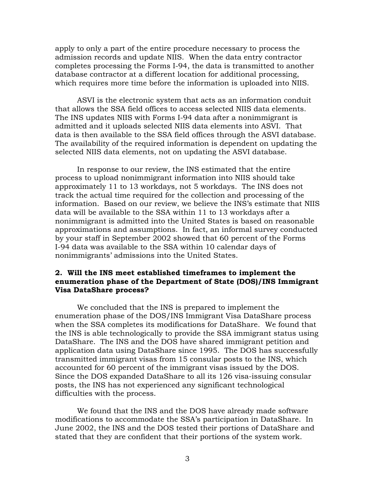apply to only a part of the entire procedure necessary to process the admission records and update NIIS. When the data entry contractor completes processing the Forms I-94, the data is transmitted to another database contractor at a different location for additional processing, which requires more time before the information is uploaded into NIIS.

ASVI is the electronic system that acts as an information conduit that allows the SSA field offices to access selected NIIS data elements. The INS updates NIIS with Forms I-94 data after a nonimmigrant is admitted and it uploads selected NIIS data elements into ASVI. That data is then available to the SSA field offices through the ASVI database. The availability of the required information is dependent on updating the selected NIIS data elements, not on updating the ASVI database.

In response to our review, the INS estimated that the entire process to upload nonimmigrant information into NIIS should take approximately 11 to 13 workdays, not 5 workdays. The INS does not track the actual time required for the collection and processing of the information. Based on our review, we believe the INS's estimate that NIIS data will be available to the SSA within 11 to 13 workdays after a nonimmigrant is admitted into the United States is based on reasonable approximations and assumptions. In fact, an informal survey conducted by your staff in September 2002 showed that 60 percent of the Forms I-94 data was available to the SSA within 10 calendar days of nonimmigrants' admissions into the United States.

#### **2. Will the INS meet established timeframes to implement the enumeration phase of the Department of State (DOS)/INS Immigrant Visa DataShare process?**

We concluded that the INS is prepared to implement the enumeration phase of the DOS/INS Immigrant Visa DataShare process when the SSA completes its modifications for DataShare.We found that the INS is able technologically to provide the SSA immigrant status using DataShare. The INS and the DOS have shared immigrant petition and application data using DataShare since 1995. The DOS has successfully transmitted immigrant visas from 15 consular posts to the INS, which accounted for 60 percent of the immigrant visas issued by the DOS. Since the DOS expanded DataShare to all its 126 visa-issuing consular posts, the INS has not experienced any significant technological difficulties with the process.

We found that the INS and the DOS have already made software modifications to accommodate the SSA's participation in DataShare. In June 2002, the INS and the DOS tested their portions of DataShare and stated that they are confident that their portions of the system work.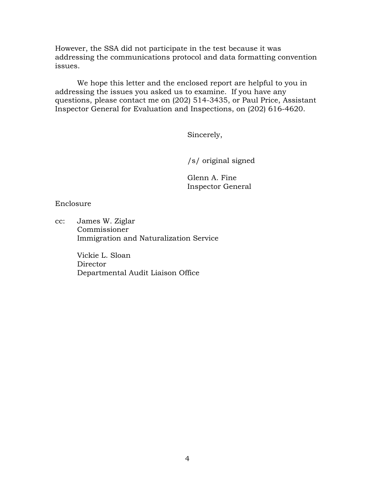However, the SSA did not participate in the test because it was addressing the communications protocol and data formatting convention issues.

 We hope this letter and the enclosed report are helpful to you in addressing the issues you asked us to examine. If you have any questions, please contact me on (202) 514-3435, or Paul Price, Assistant Inspector General for Evaluation and Inspections, on (202) 616-4620.

Sincerely,

/s/ original signed

 Glenn A. Fine Inspector General

Enclosure

cc: James W. Ziglar Commissioner Immigration and Naturalization Service

> Vickie L. Sloan Director Departmental Audit Liaison Office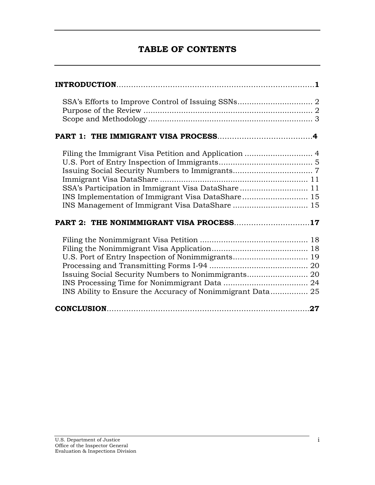## **TABLE OF CONTENTS**

| SSA's Participation in Immigrant Visa DataShare 11<br>PART 2: THE NONIMMIGRANT VISA PROCESS17                                                                          |  |  |
|------------------------------------------------------------------------------------------------------------------------------------------------------------------------|--|--|
| U.S. Port of Entry Inspection of Nonimmigrants 19<br>Issuing Social Security Numbers to Nonimmigrants 20<br>INS Ability to Ensure the Accuracy of Nonimmigrant Data 25 |  |  |
|                                                                                                                                                                        |  |  |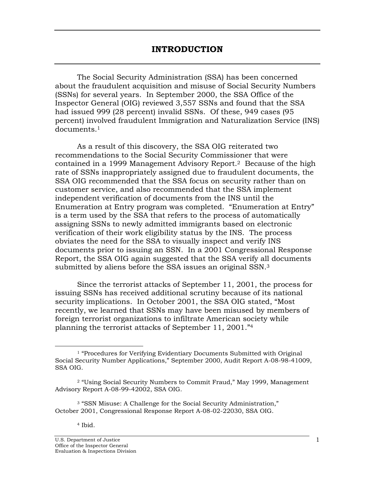<span id="page-6-0"></span> The Social Security Administration (SSA) has been concerned about the fraudulent acquisition and misuse of Social Security Numbers (SSNs) for several years. In September 2000, the SSA Office of the Inspector General (OIG) reviewed 3,557 SSNs and found that the SSA had issued 999 (28 percent) invalid SSNs. Of these, 949 cases (95 percent) involved fraudulent Immigration and Naturalization Service (INS) documents.1

 As a result of this discovery, the SSA OIG reiterated two recommendations to the Social Security Commissioner that were contained in a 1999 Management Advisory Report.2 Because of the high rate of SSNs inappropriately assigned due to fraudulent documents, the SSA OIG recommended that the SSA focus on security rather than on customer service, and also recommended that the SSA implement independent verification of documents from the INS until the Enumeration at Entry program was completed. "Enumeration at Entry" is a term used by the SSA that refers to the process of automatically assigning SSNs to newly admitted immigrants based on electronic verification of their work eligibility status by the INS. The process obviates the need for the SSA to visually inspect and verify INS documents prior to issuing an SSN. In a 2001 Congressional Response Report, the SSA OIG again suggested that the SSA verify all documents submitted by aliens before the SSA issues an original SSN.<sup>3</sup>

 Since the terrorist attacks of September 11, 2001, the process for issuing SSNs has received additional scrutiny because of its national security implications. In October 2001, the SSA OIG stated, "Most recently, we learned that SSNs may have been misused by members of foreign terrorist organizations to infiltrate American society while planning the terrorist attacks of September 11, 2001."4

<sup>&</sup>lt;sup>1</sup> "Procedures for Verifying Evidentiary Documents Submitted with Original Social Security Number Applications," September 2000, Audit Report A-08-98-41009, SSA OIG.

<sup>2 &</sup>quot;Using Social Security Numbers to Commit Fraud," May 1999, Management Advisory Report A-08-99-42002, SSA OIG.

<sup>3 &</sup>quot;SSN Misuse: A Challenge for the Social Security Administration," October 2001, Congressional Response Report A-08-02-22030, SSA OIG.

<sup>4</sup> Ibid.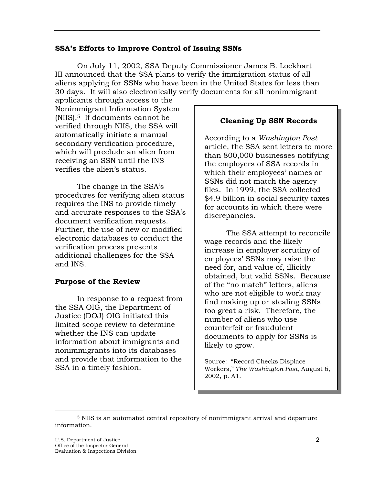#### <span id="page-7-0"></span>**SSA's Efforts to Improve Control of Issuing SSNs**

On July 11, 2002, SSA Deputy Commissioner James B. Lockhart III announced that the SSA plans to verify the immigration status of all aliens applying for SSNs who have been in the United States for less than 30 days. It will also electronically verify documents for all nonimmigrant

applicants through access to the Nonimmigrant Information System (NIIS).5 If documents cannot be verified through NIIS, the SSA will automatically initiate a manual secondary verification procedure, which will preclude an alien from receiving an SSN until the INS verifies the alien's status.

 The change in the SSA's procedures for verifying alien status requires the INS to provide timely and accurate responses to the SSA's document verification requests. Further, the use of new or modified electronic databases to conduct the verification process presents additional challenges for the SSA and INS.

## **Purpose of the Review**

 In response to a request from the SSA OIG, the Department of Justice (DOJ) OIG initiated this limited scope review to determine whether the INS can update information about immigrants and nonimmigrants into its databases and provide that information to the SSA in a timely fashion.

## **Cleaning Up SSN Records**

According to a *Washington Post* article, the SSA sent letters to more than 800,000 businesses notifying the employers of SSA records in which their employees' names or SSNs did not match the agency files. In 1999, the SSA collected \$4.9 billion in social security taxes for accounts in which there were discrepancies.

The SSA attempt to reconcile wage records and the likely increase in employer scrutiny of employees' SSNs may raise the need for, and value of, illicitly obtained, but valid SSNs. Because of the "no match" letters, aliens who are not eligible to work may find making up or stealing SSNs too great a risk. Therefore, the number of aliens who use counterfeit or fraudulent documents to apply for SSNs is likely to grow.

Source: "Record Checks Displace Workers," *The Washington Post*, August 6, 2002, p. A1.

 <sup>5</sup> NIIS is an automated central repository of nonimmigrant arrival and departure information.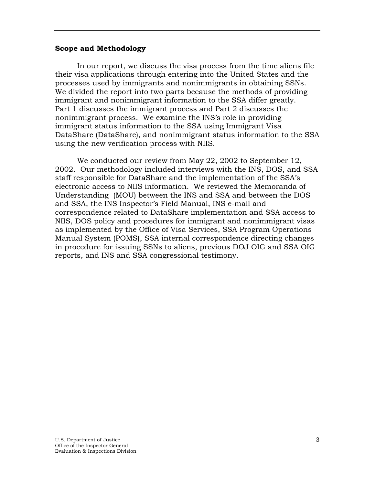#### <span id="page-8-0"></span>**Scope and Methodology**

 In our report, we discuss the visa process from the time aliens file their visa applications through entering into the United States and the processes used by immigrants and nonimmigrants in obtaining SSNs. We divided the report into two parts because the methods of providing immigrant and nonimmigrant information to the SSA differ greatly. Part 1 discusses the immigrant process and Part 2 discusses the nonimmigrant process. We examine the INS's role in providing immigrant status information to the SSA using Immigrant Visa DataShare (DataShare), and nonimmigrant status information to the SSA using the new verification process with NIIS.

 We conducted our review from May 22, 2002 to September 12, 2002. Our methodology included interviews with the INS, DOS, and SSA staff responsible for DataShare and the implementation of the SSA's electronic access to NIIS information. We reviewed the Memoranda of Understanding (MOU) between the INS and SSA and between the DOS and SSA, the INS Inspector's Field Manual, INS e-mail and correspondence related to DataShare implementation and SSA access to NIIS, DOS policy and procedures for immigrant and nonimmigrant visas as implemented by the Office of Visa Services, SSA Program Operations Manual System (POMS), SSA internal correspondence directing changes in procedure for issuing SSNs to aliens, previous DOJ OIG and SSA OIG reports, and INS and SSA congressional testimony.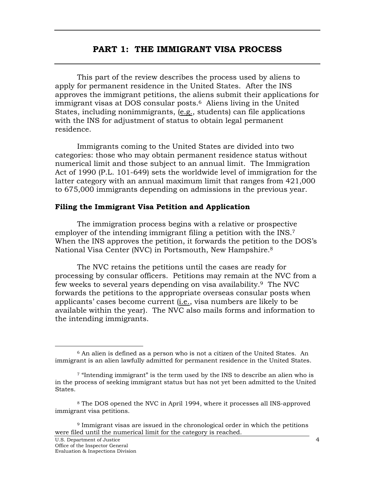## **PART 1: THE IMMIGRANT VISA PROCESS**

<span id="page-9-0"></span> This part of the review describes the process used by aliens to apply for permanent residence in the United States. After the INS approves the immigrant petitions, the aliens submit their applications for immigrant visas at DOS consular posts.<sup>6</sup> Aliens living in the United States, including nonimmigrants, (e.g., students) can file applications with the INS for adjustment of status to obtain legal permanent residence.

 Immigrants coming to the United States are divided into two categories: those who may obtain permanent residence status without numerical limit and those subject to an annual limit. The Immigration Act of 1990 (P.L. 101-649) sets the worldwide level of immigration for the latter category with an annual maximum limit that ranges from 421,000 to 675,000 immigrants depending on admissions in the previous year.

#### **Filing the Immigrant Visa Petition and Application**

 The immigration process begins with a relative or prospective employer of the intending immigrant filing a petition with the INS.<sup>7</sup> When the INS approves the petition, it forwards the petition to the DOS's National Visa Center (NVC) in Portsmouth, New Hampshire.8

 The NVC retains the petitions until the cases are ready for processing by consular officers. Petitions may remain at the NVC from a few weeks to several years depending on visa availability.9 The NVC forwards the petitions to the appropriate overseas consular posts when applicants' cases become current (i.e., visa numbers are likely to be available within the year). The NVC also mails forms and information to the intending immigrants.

 <sup>6</sup> An alien is defined as a person who is not a citizen of the United States. An immigrant is an alien lawfully admitted for permanent residence in the United States.

<sup>7 &</sup>quot;Intending immigrant" is the term used by the INS to describe an alien who is in the process of seeking immigrant status but has not yet been admitted to the United States.

<sup>8</sup> The DOS opened the NVC in April 1994, where it processes all INS-approved immigrant visa petitions.

<sup>9</sup> Immigrant visas are issued in the chronological order in which the petitions were filed until the numerical limit for the category is reached.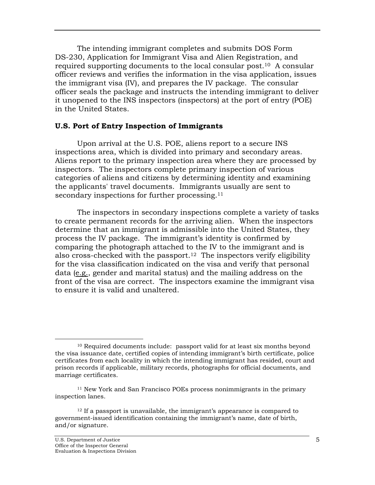<span id="page-10-0"></span> The intending immigrant completes and submits DOS Form DS-230, Application for Immigrant Visa and Alien Registration, and required supporting documents to the local consular post.10 A consular officer reviews and verifies the information in the visa application, issues the immigrant visa (IV), and prepares the IV package. The consular officer seals the package and instructs the intending immigrant to deliver it unopened to the INS inspectors (inspectors) at the port of entry (POE) in the United States.

#### **U.S. Port of Entry Inspection of Immigrants**

 Upon arrival at the U.S. POE, aliens report to a secure INS inspections area, which is divided into primary and secondary areas. Aliens report to the primary inspection area where they are processed by inspectors. The inspectors complete primary inspection of various categories of aliens and citizens by determining identity and examining the applicants' travel documents. Immigrants usually are sent to secondary inspections for further processing.<sup>11</sup>

 The inspectors in secondary inspections complete a variety of tasks to create permanent records for the arriving alien. When the inspectors determine that an immigrant is admissible into the United States, they process the IV package. The immigrant's identity is confirmed by comparing the photograph attached to the IV to the immigrant and is also cross-checked with the passport.<sup>12</sup> The inspectors verify eligibility for the visa classification indicated on the visa and verify that personal data (e.g., gender and marital status) and the mailing address on the front of the visa are correct. The inspectors examine the immigrant visa to ensure it is valid and unaltered.

 <sup>10</sup> Required documents include: passport valid for at least six months beyond the visa issuance date, certified copies of intending immigrant's birth certificate, police certificates from each locality in which the intending immigrant has resided, court and prison records if applicable, military records, photographs for official documents, and marriage certificates.

<sup>11</sup> New York and San Francisco POEs process nonimmigrants in the primary inspection lanes.

<sup>&</sup>lt;sup>12</sup> If a passport is unavailable, the immigrant's appearance is compared to government-issued identification containing the immigrant's name, date of birth, and/or signature.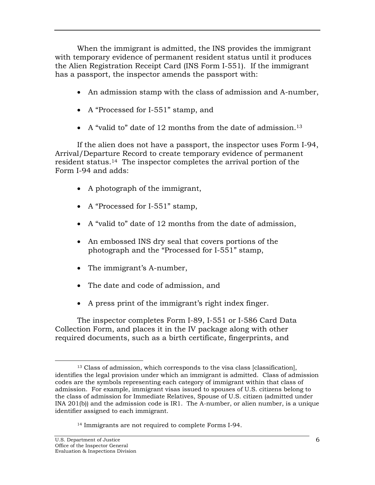When the immigrant is admitted, the INS provides the immigrant with temporary evidence of permanent resident status until it produces the Alien Registration Receipt Card (INS Form I-551). If the immigrant has a passport, the inspector amends the passport with:

- An admission stamp with the class of admission and A-number,
- A "Processed for I-551" stamp, and
- A "valid to" date of 12 months from the date of admission.<sup>13</sup>

 If the alien does not have a passport, the inspector uses Form I-94, Arrival/Departure Record to create temporary evidence of permanent resident status.14 The inspector completes the arrival portion of the Form I-94 and adds:

- A photograph of the immigrant,
- A "Processed for I-551" stamp,
- A "valid to" date of 12 months from the date of admission,
- An embossed INS dry seal that covers portions of the photograph and the "Processed for I-551" stamp,
- The immigrant's A-number,
- The date and code of admission, and
- A press print of the immigrant's right index finger.

 The inspector completes Form I-89, I-551 or I-586 Card Data Collection Form, and places it in the IV package along with other required documents, such as a birth certificate, fingerprints, and

 <sup>13</sup> Class of admission, which corresponds to the visa class [classification], identifies the legal provision under which an immigrant is admitted. Class of admission codes are the symbols representing each category of immigrant within that class of admission. For example, immigrant visas issued to spouses of U.S. citizens belong to the class of admission for Immediate Relatives, Spouse of U.S. citizen (admitted under INA 201(b)) and the admission code is IR1. The A-number, or alien number, is a unique identifier assigned to each immigrant.

<sup>14</sup> Immigrants are not required to complete Forms I-94.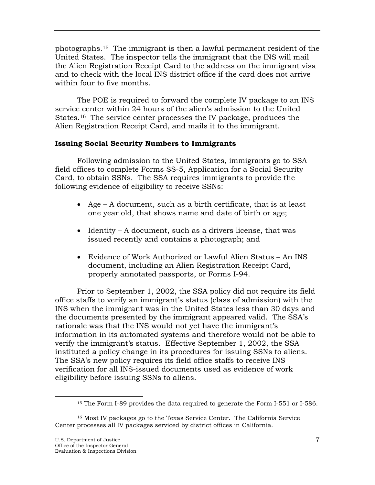<span id="page-12-0"></span>photographs.15 The immigrant is then a lawful permanent resident of the United States. The inspector tells the immigrant that the INS will mail the Alien Registration Receipt Card to the address on the immigrant visa and to check with the local INS district office if the card does not arrive within four to five months

 The POE is required to forward the complete IV package to an INS service center within 24 hours of the alien's admission to the United States.16 The service center processes the IV package, produces the Alien Registration Receipt Card, and mails it to the immigrant.

## **Issuing Social Security Numbers to Immigrants**

 Following admission to the United States, immigrants go to SSA field offices to complete Forms SS-5, Application for a Social Security Card, to obtain SSNs. The SSA requires immigrants to provide the following evidence of eligibility to receive SSNs:

- Age A document, such as a birth certificate, that is at least one year old, that shows name and date of birth or age;
- Identity A document, such as a drivers license, that was issued recently and contains a photograph; and
- Evidence of Work Authorized or Lawful Alien Status An INS document, including an Alien Registration Receipt Card, properly annotated passports, or Forms I-94.

 Prior to September 1, 2002, the SSA policy did not require its field office staffs to verify an immigrant's status (class of admission) with the INS when the immigrant was in the United States less than 30 days and the documents presented by the immigrant appeared valid. The SSA's rationale was that the INS would not yet have the immigrant's information in its automated systems and therefore would not be able to verify the immigrant's status. Effective September 1, 2002, the SSA instituted a policy change in its procedures for issuing SSNs to aliens. The SSA's new policy requires its field office staffs to receive INS verification for all INS-issued documents used as evidence of work eligibility before issuing SSNs to aliens.

<sup>&</sup>lt;sup>15</sup> The Form I-89 provides the data required to generate the Form I-551 or I-586.

<sup>16</sup> Most IV packages go to the Texas Service Center. The California Service Center processes all IV packages serviced by district offices in California.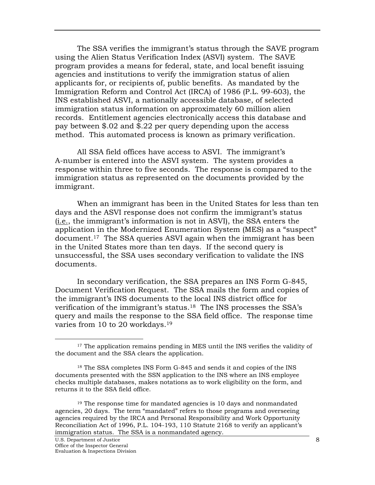The SSA verifies the immigrant's status through the SAVE program using the Alien Status Verification Index (ASVI) system. The SAVE program provides a means for federal, state, and local benefit issuing agencies and institutions to verify the immigration status of alien applicants for, or recipients of, public benefits. As mandated by the Immigration Reform and Control Act (IRCA) of 1986 (P.L. 99-603), the INS established ASVI, a nationally accessible database, of selected immigration status information on approximately 60 million alien records. Entitlement agencies electronically access this database and pay between \$.02 and \$.22 per query depending upon the access method. This automated process is known as primary verification.

 All SSA field offices have access to ASVI. The immigrant's A-number is entered into the ASVI system. The system provides a response within three to five seconds. The response is compared to the immigration status as represented on the documents provided by the immigrant.

 When an immigrant has been in the United States for less than ten days and the ASVI response does not confirm the immigrant's status (i.e., the immigrant's information is not in ASVI), the SSA enters the application in the Modernized Enumeration System (MES) as a "suspect" document.17 The SSA queries ASVI again when the immigrant has been in the United States more than ten days. If the second query is unsuccessful, the SSA uses secondary verification to validate the INS documents.

 In secondary verification, the SSA prepares an INS Form G-845, Document Verification Request. The SSA mails the form and copies of the immigrant's INS documents to the local INS district office for verification of the immigrant's status.18 The INS processes the SSA's query and mails the response to the SSA field office. The response time varies from 10 to 20 workdays.<sup>19</sup>

<sup>&</sup>lt;sup>17</sup> The application remains pending in MES until the INS verifies the validity of the document and the SSA clears the application.

<sup>18</sup> The SSA completes INS Form G-845 and sends it and copies of the INS documents presented with the SSN application to the INS where an INS employee checks multiple databases, makes notations as to work eligibility on the form, and returns it to the SSA field office.

<sup>&</sup>lt;sup>19</sup> The response time for mandated agencies is 10 days and nonmandated agencies, 20 days. The term "mandated" refers to those programs and overseeing agencies required by the IRCA and Personal Responsibility and Work Opportunity Reconciliation Act of 1996, P.L. 104-193, 110 Statute 2168 to verify an applicant's immigration status. The SSA is a nonmandated agency.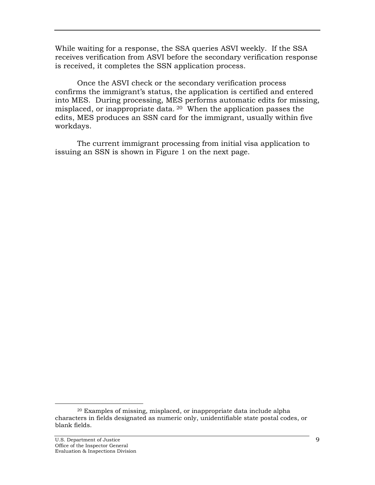While waiting for a response, the SSA queries ASVI weekly. If the SSA receives verification from ASVI before the secondary verification response is received, it completes the SSN application process.

 Once the ASVI check or the secondary verification process confirms the immigrant's status, the application is certified and entered into MES. During processing, MES performs automatic edits for missing, misplaced, or inappropriate data. 20 When the application passes the edits, MES produces an SSN card for the immigrant, usually within five workdays.

 The current immigrant processing from initial visa application to issuing an SSN is shown in Figure 1 on the next page.

 <sup>20</sup> Examples of missing, misplaced, or inappropriate data include alpha characters in fields designated as numeric only, unidentifiable state postal codes, or blank fields.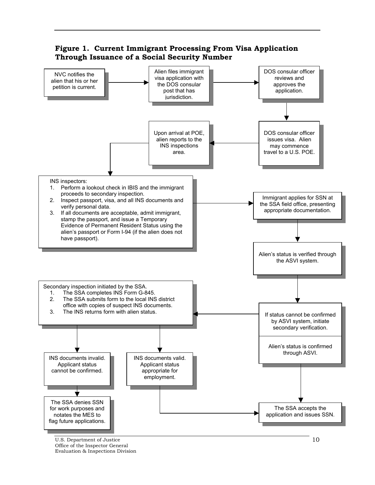

U.S. Department of Justice Office of the Inspector General Evaluation & Inspections Division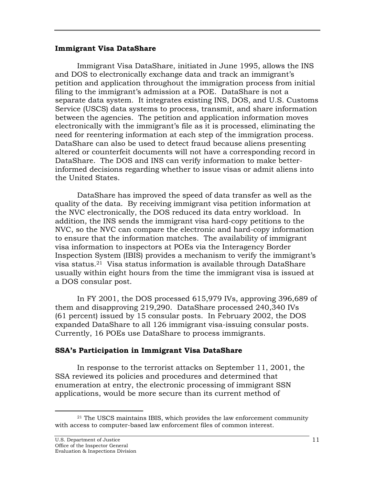#### <span id="page-16-0"></span>**Immigrant Visa DataShare**

 Immigrant Visa DataShare, initiated in June 1995, allows the INS and DOS to electronically exchange data and track an immigrant's petition and application throughout the immigration process from initial filing to the immigrant's admission at a POE. DataShare is not a separate data system. It integrates existing INS, DOS, and U.S. Customs Service (USCS) data systems to process, transmit, and share information between the agencies. The petition and application information moves electronically with the immigrant's file as it is processed, eliminating the need for reentering information at each step of the immigration process. DataShare can also be used to detect fraud because aliens presenting altered or counterfeit documents will not have a corresponding record in DataShare. The DOS and INS can verify information to make betterinformed decisions regarding whether to issue visas or admit aliens into the United States.

 DataShare has improved the speed of data transfer as well as the quality of the data. By receiving immigrant visa petition information at the NVC electronically, the DOS reduced its data entry workload. In addition, the INS sends the immigrant visa hard-copy petitions to the NVC, so the NVC can compare the electronic and hard-copy information to ensure that the information matches. The availability of immigrant visa information to inspectors at POEs via the Interagency Border Inspection System (IBIS) provides a mechanism to verify the immigrant's visa status.21 Visa status information is available through DataShare usually within eight hours from the time the immigrant visa is issued at a DOS consular post.

 In FY 2001, the DOS processed 615,979 IVs, approving 396,689 of them and disapproving 219,290. DataShare processed 240,340 IVs (61 percent) issued by 15 consular posts. In February 2002, the DOS expanded DataShare to all 126 immigrant visa-issuing consular posts. Currently, 16 POEs use DataShare to process immigrants.

#### **SSA's Participation in Immigrant Visa DataShare**

 In response to the terrorist attacks on September 11, 2001, the SSA reviewed its policies and procedures and determined that enumeration at entry, the electronic processing of immigrant SSN applications, would be more secure than its current method of

 $21$  The USCS maintains IBIS, which provides the law enforcement community with access to computer-based law enforcement files of common interest.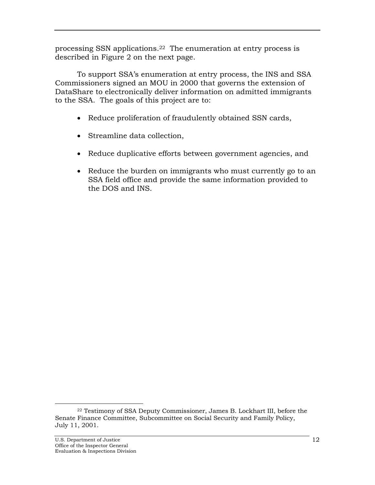processing SSN applications.22 The enumeration at entry process is described in Figure 2 on the next page.

 To support SSA's enumeration at entry process, the INS and SSA Commissioners signed an MOU in 2000 that governs the extension of DataShare to electronically deliver information on admitted immigrants to the SSA. The goals of this project are to:

- Reduce proliferation of fraudulently obtained SSN cards,
- Streamline data collection,
- Reduce duplicative efforts between government agencies, and
- Reduce the burden on immigrants who must currently go to an SSA field office and provide the same information provided to the DOS and INS.

 <sup>22</sup> Testimony of SSA Deputy Commissioner, James B. Lockhart III, before the Senate Finance Committee, Subcommittee on Social Security and Family Policy, July 11, 2001.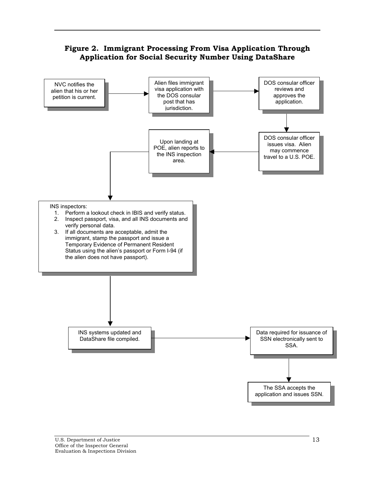## **Figure 2. Immigrant Processing From Visa Application Through Application for Social Security Number Using DataShare**

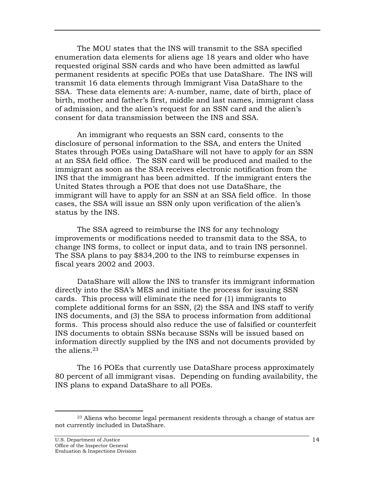The MOU states that the INS will transmit to the SSA specified enumeration data elements for aliens age 18 years and older who have requested original SSN cards and who have been admitted as lawful permanent residents at specific POEs that use DataShare. The INS will transmit 16 data elements through Immigrant Visa DataShare to the SSA. These data elements are: A-number, name, date of birth, place of birth, mother and father's first, middle and last names, immigrant class of admission, and the alien's request for an SSN card and the alien's consent for data transmission between the INS and SSA.

An immigrant who requests an SSN card, consents to the disclosure of personal information to the SSA, and enters the United States through POEs using DataShare will not have to apply for an SSN at an SSA field office. The SSN card will be produced and mailed to the immigrant as soon as the SSA receives electronic notification from the INS that the immigrant has been admitted. If the immigrant enters the United States through a POE that does not use DataShare, the immigrant will have to apply for an SSN at an SSA field office. In those cases, the SSA will issue an SSN only upon verification of the alien's status by the INS.

 The SSA agreed to reimburse the INS for any technology improvements or modifications needed to transmit data to the SSA, to change INS forms, to collect or input data, and to train INS personnel. The SSA plans to pay \$834,200 to the INS to reimburse expenses in fiscal years 2002 and 2003.

 DataShare will allow the INS to transfer its immigrant information directly into the SSA's MES and initiate the process for issuing SSN cards. This process will eliminate the need for (1) immigrants to complete additional forms for an SSN, (2) the SSA and INS staff to verify INS documents, and (3) the SSA to process information from additional forms. This process should also reduce the use of falsified or counterfeit INS documents to obtain SSNs because SSNs will be issued based on information directly supplied by the INS and not documents provided by the aliens.23

 The 16 POEs that currently use DataShare process approximately 80 percent of all immigrant visas. Depending on funding availability, the INS plans to expand DataShare to all POEs.

<sup>&</sup>lt;sup>23</sup> Aliens who become legal permanent residents through a change of status are not currently included in DataShare.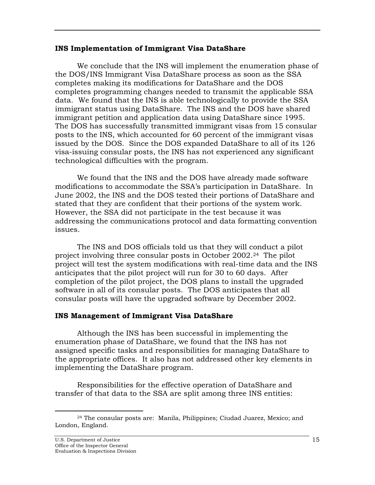#### <span id="page-20-0"></span>**INS Implementation of Immigrant Visa DataShare**

We conclude that the INS will implement the enumeration phase of the DOS/INS Immigrant Visa DataShare process as soon as the SSA completes making its modifications for DataShare and the DOS completes programming changes needed to transmit the applicable SSA data.We found that the INS is able technologically to provide the SSA immigrant status using DataShare. The INS and the DOS have shared immigrant petition and application data using DataShare since 1995. The DOS has successfully transmitted immigrant visas from 15 consular posts to the INS, which accounted for 60 percent of the immigrant visas issued by the DOS. Since the DOS expanded DataShare to all of its 126 visa-issuing consular posts, the INS has not experienced any significant technological difficulties with the program.

We found that the INS and the DOS have already made software modifications to accommodate the SSA's participation in DataShare. In June 2002, the INS and the DOS tested their portions of DataShare and stated that they are confident that their portions of the system work. However, the SSA did not participate in the test because it was addressing the communications protocol and data formatting convention issues.

 The INS and DOS officials told us that they will conduct a pilot project involving three consular posts in October 2002.24 The pilot project will test the system modifications with real-time data and the INS anticipates that the pilot project will run for 30 to 60 days. After completion of the pilot project, the DOS plans to install the upgraded software in all of its consular posts. The DOS anticipates that all consular posts will have the upgraded software by December 2002.

## **INS Management of Immigrant Visa DataShare**

 Although the INS has been successful in implementing the enumeration phase of DataShare, we found that the INS has not assigned specific tasks and responsibilities for managing DataShare to the appropriate offices. It also has not addressed other key elements in implementing the DataShare program.

 Responsibilities for the effective operation of DataShare and transfer of that data to the SSA are split among three INS entities:

 <sup>24</sup> The consular posts are: Manila, Philippines; Ciudad Juarez, Mexico; and London, England.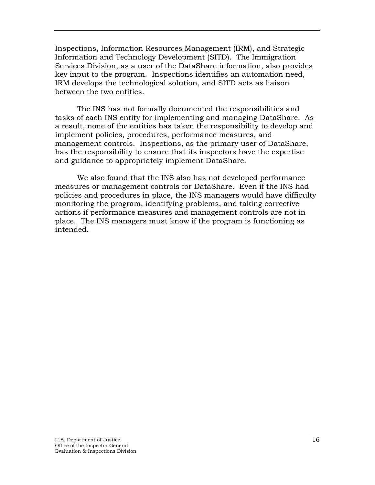Inspections, Information Resources Management (IRM), and Strategic Information and Technology Development (SITD). The Immigration Services Division, as a user of the DataShare information, also provides key input to the program. Inspections identifies an automation need, IRM develops the technological solution, and SITD acts as liaison between the two entities.

 The INS has not formally documented the responsibilities and tasks of each INS entity for implementing and managing DataShare. As a result, none of the entities has taken the responsibility to develop and implement policies, procedures, performance measures, and management controls. Inspections, as the primary user of DataShare, has the responsibility to ensure that its inspectors have the expertise and guidance to appropriately implement DataShare.

 We also found that the INS also has not developed performance measures or management controls for DataShare. Even if the INS had policies and procedures in place, the INS managers would have difficulty monitoring the program, identifying problems, and taking corrective actions if performance measures and management controls are not in place. The INS managers must know if the program is functioning as intended.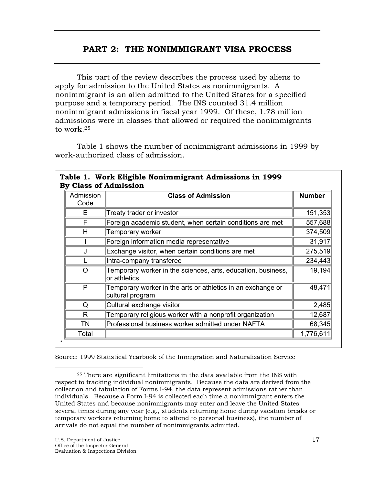## **PART 2: THE NONIMMIGRANT VISA PROCESS**

<span id="page-22-0"></span> This part of the review describes the process used by aliens to apply for admission to the United States as nonimmigrants. A nonimmigrant is an alien admitted to the United States for a specified purpose and a temporary period. The INS counted 31.4 million nonimmigrant admissions in fiscal year 1999. Of these, 1.78 million admissions were in classes that allowed or required the nonimmigrants to work.25

 Table 1 shows the number of nonimmigrant admissions in 1999 by work-authorized class of admission.

| Admission<br>Code | <b>Class of Admission</b>                                                       | <b>Number</b> |
|-------------------|---------------------------------------------------------------------------------|---------------|
|                   |                                                                                 |               |
| Е                 | Treaty trader or investor                                                       | 151,353       |
| F                 | Foreign academic student, when certain conditions are met                       | 557,688       |
| н                 | Temporary worker                                                                | 374,509       |
|                   | Foreign information media representative                                        | 31,917        |
|                   | Exchange visitor, when certain conditions are met                               | 275,519       |
|                   | Intra-company transferee                                                        | 234,443       |
| $\Omega$          | Temporary worker in the sciences, arts, education, business,<br>or athletics    | 19,194        |
| P                 | Temporary worker in the arts or athletics in an exchange or<br>cultural program | 48,471        |
| Q                 | Cultural exchange visitor                                                       | 2,485         |
| R                 | Temporary religious worker with a nonprofit organization                        | 12,687        |
| TN                | Professional business worker admitted under NAFTA                               | 68,345        |
| Total             |                                                                                 | 1,776,611     |

# **Table 1. Work Eligible Nonimmigrant Admissions in 1999**

Source: 1999 Statistical Yearbook of the Immigration and Naturalization Service

 <sup>25</sup> There are significant limitations in the data available from the INS with respect to tracking individual nonimmigrants. Because the data are derived from the collection and tabulation of Forms I-94, the data represent admissions rather than individuals. Because a Form I-94 is collected each time a nonimmigrant enters the United States and because nonimmigrants may enter and leave the United States several times during any year (e.g., students returning home during vacation breaks or temporary workers returning home to attend to personal business), the number of arrivals do not equal the number of nonimmigrants admitted.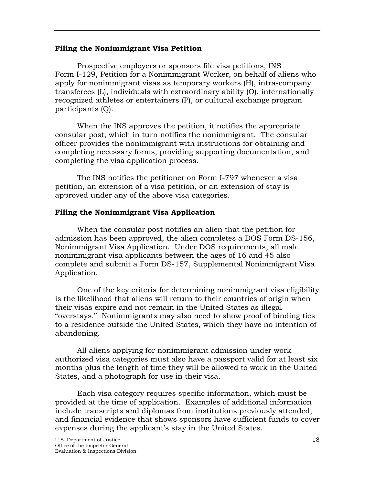#### <span id="page-23-0"></span>**Filing the Nonimmigrant Visa Petition**

 Prospective employers or sponsors file visa petitions, INS Form I-129, Petition for a Nonimmigrant Worker, on behalf of aliens who apply for nonimmigrant visas as temporary workers (H), intra-company transferees (L), individuals with extraordinary ability (O), internationally recognized athletes or entertainers (P), or cultural exchange program participants (Q).

 When the INS approves the petition, it notifies the appropriate consular post, which in turn notifies the nonimmigrant. The consular officer provides the nonimmigrant with instructions for obtaining and completing necessary forms, providing supporting documentation, and completing the visa application process.

 The INS notifies the petitioner on Form I-797 whenever a visa petition, an extension of a visa petition, or an extension of stay is approved under any of the above visa categories.

## **Filing the Nonimmigrant Visa Application**

 When the consular post notifies an alien that the petition for admission has been approved, the alien completes a DOS Form DS-156, Nonimmigrant Visa Application. Under DOS requirements, all male nonimmigrant visa applicants between the ages of 16 and 45 also complete and submit a Form DS-157, Supplemental Nonimmigrant Visa Application.

 One of the key criteria for determining nonimmigrant visa eligibility is the likelihood that aliens will return to their countries of origin when their visas expire and not remain in the United States as illegal "overstays." Nonimmigrants may also need to show proof of binding ties to a residence outside the United States, which they have no intention of abandoning.

 All aliens applying for nonimmigrant admission under work authorized visa categories must also have a passport valid for at least six months plus the length of time they will be allowed to work in the United States, and a photograph for use in their visa.

 Each visa category requires specific information, which must be provided at the time of application. Examples of additional information include transcripts and diplomas from institutions previously attended, and financial evidence that shows sponsors have sufficient funds to cover expenses during the applicant's stay in the United States.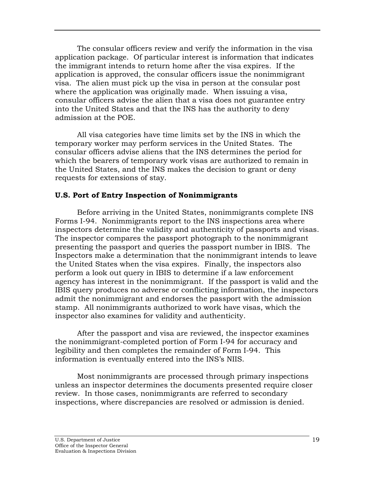<span id="page-24-0"></span> The consular officers review and verify the information in the visa application package. Of particular interest is information that indicates the immigrant intends to return home after the visa expires. If the application is approved, the consular officers issue the nonimmigrant visa. The alien must pick up the visa in person at the consular post where the application was originally made. When issuing a visa, consular officers advise the alien that a visa does not guarantee entry into the United States and that the INS has the authority to deny admission at the POE.

 All visa categories have time limits set by the INS in which the temporary worker may perform services in the United States. The consular officers advise aliens that the INS determines the period for which the bearers of temporary work visas are authorized to remain in the United States, and the INS makes the decision to grant or deny requests for extensions of stay.

## **U.S. Port of Entry Inspection of Nonimmigrants**

 Before arriving in the United States, nonimmigrants complete INS Forms I-94. Nonimmigrants report to the INS inspections area where inspectors determine the validity and authenticity of passports and visas. The inspector compares the passport photograph to the nonimmigrant presenting the passport and queries the passport number in IBIS. The Inspectors make a determination that the nonimmigrant intends to leave the United States when the visa expires. Finally, the inspectors also perform a look out query in IBIS to determine if a law enforcement agency has interest in the nonimmigrant. If the passport is valid and the IBIS query produces no adverse or conflicting information, the inspectors admit the nonimmigrant and endorses the passport with the admission stamp. All nonimmigrants authorized to work have visas, which the inspector also examines for validity and authenticity.

 After the passport and visa are reviewed, the inspector examines the nonimmigrant-completed portion of Form I-94 for accuracy and legibility and then completes the remainder of Form I-94. This information is eventually entered into the INS's NIIS.

 Most nonimmigrants are processed through primary inspections unless an inspector determines the documents presented require closer review. In those cases, nonimmigrants are referred to secondary inspections, where discrepancies are resolved or admission is denied.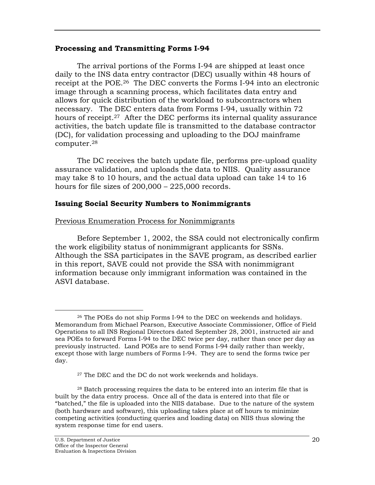#### <span id="page-25-0"></span>**Processing and Transmitting Forms I-94**

 The arrival portions of the Forms I-94 are shipped at least once daily to the INS data entry contractor (DEC) usually within 48 hours of receipt at the POE.26 The DEC converts the Forms I-94 into an electronic image through a scanning process, which facilitates data entry and allows for quick distribution of the workload to subcontractors when necessary. The DEC enters data from Forms I-94, usually within 72 hours of receipt.<sup>27</sup> After the DEC performs its internal quality assurance activities, the batch update file is transmitted to the database contractor (DC), for validation processing and uploading to the DOJ mainframe computer.28

 The DC receives the batch update file, performs pre-upload quality assurance validation, and uploads the data to NIIS. Quality assurance may take 8 to 10 hours, and the actual data upload can take 14 to 16 hours for file sizes of  $200,000 - 225,000$  records.

## **Issuing Social Security Numbers to Nonimmigrants**

Previous Enumeration Process for Nonimmigrants

 Before September 1, 2002, the SSA could not electronically confirm the work eligibility status of nonimmigrant applicants for SSNs. Although the SSA participates in the SAVE program, as described earlier in this report, SAVE could not provide the SSA with nonimmigrant information because only immigrant information was contained in the ASVI database.

 <sup>26</sup> The POEs do not ship Forms I-94 to the DEC on weekends and holidays. Memorandum from Michael Pearson, Executive Associate Commissioner, Office of Field Operations to all INS Regional Directors dated September 28, 2001, instructed air and sea POEs to forward Forms I-94 to the DEC twice per day, rather than once per day as previously instructed. Land POEs are to send Forms I-94 daily rather than weekly, except those with large numbers of Forms I-94. They are to send the forms twice per day.

<sup>&</sup>lt;sup>27</sup> The DEC and the DC do not work weekends and holidays.

<sup>28</sup> Batch processing requires the data to be entered into an interim file that is built by the data entry process. Once all of the data is entered into that file or "batched," the file is uploaded into the NIIS database. Due to the nature of the system (both hardware and software), this uploading takes place at off hours to minimize competing activities (conducting queries and loading data) on NIIS thus slowing the system response time for end users.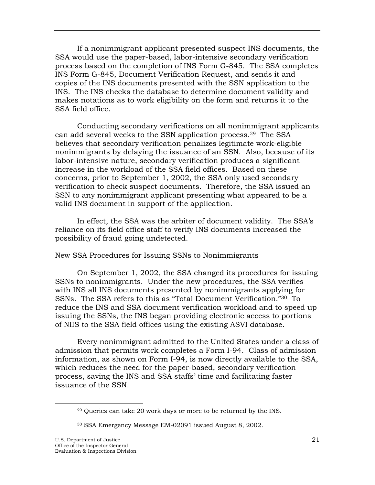If a nonimmigrant applicant presented suspect INS documents, the SSA would use the paper-based, labor-intensive secondary verification process based on the completion of INS Form G-845. The SSA completes INS Form G-845, Document Verification Request, and sends it and copies of the INS documents presented with the SSN application to the INS. The INS checks the database to determine document validity and makes notations as to work eligibility on the form and returns it to the SSA field office.

 Conducting secondary verifications on all nonimmigrant applicants can add several weeks to the SSN application process.29 The SSA believes that secondary verification penalizes legitimate work-eligible nonimmigrants by delaying the issuance of an SSN. Also, because of its labor-intensive nature, secondary verification produces a significant increase in the workload of the SSA field offices. Based on these concerns, prior to September 1, 2002, the SSA only used secondary verification to check suspect documents. Therefore, the SSA issued an SSN to any nonimmigrant applicant presenting what appeared to be a valid INS document in support of the application.

 In effect, the SSA was the arbiter of document validity. The SSA's reliance on its field office staff to verify INS documents increased the possibility of fraud going undetected.

#### New SSA Procedures for Issuing SSNs to Nonimmigrants

 On September 1, 2002, the SSA changed its procedures for issuing SSNs to nonimmigrants. Under the new procedures, the SSA verifies with INS all INS documents presented by nonimmigrants applying for SSNs. The SSA refers to this as "Total Document Verification."30 To reduce the INS and SSA document verification workload and to speed up issuing the SSNs, the INS began providing electronic access to portions of NIIS to the SSA field offices using the existing ASVI database.

 Every nonimmigrant admitted to the United States under a class of admission that permits work completes a Form I-94. Class of admission information, as shown on Form I-94, is now directly available to the SSA, which reduces the need for the paper-based, secondary verification process, saving the INS and SSA staffs' time and facilitating faster issuance of the SSN.

 <sup>29</sup> Queries can take 20 work days or more to be returned by the INS.

<sup>30</sup> SSA Emergency Message EM-02091 issued August 8, 2002.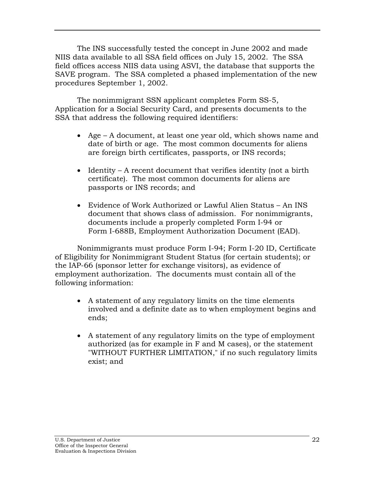The INS successfully tested the concept in June 2002 and made NIIS data available to all SSA field offices on July 15, 2002. The SSA field offices access NIIS data using ASVI, the database that supports the SAVE program. The SSA completed a phased implementation of the new procedures September 1, 2002.

 The nonimmigrant SSN applicant completes Form SS-5, Application for a Social Security Card, and presents documents to the SSA that address the following required identifiers:

- Age A document, at least one year old, which shows name and date of birth or age. The most common documents for aliens are foreign birth certificates, passports, or INS records;
- Identity A recent document that verifies identity (not a birth certificate). The most common documents for aliens are passports or INS records; and
- Evidence of Work Authorized or Lawful Alien Status An INS document that shows class of admission. For nonimmigrants, documents include a properly completed Form I-94 or Form I-688B, Employment Authorization Document (EAD).

 Nonimmigrants must produce Form I-94; Form I-20 ID, Certificate of Eligibility for Nonimmigrant Student Status (for certain students); or the IAP-66 (sponsor letter for exchange visitors), as evidence of employment authorization. The documents must contain all of the following information:

- A statement of any regulatory limits on the time elements involved and a definite date as to when employment begins and ends;
- A statement of any regulatory limits on the type of employment authorized (as for example in F and M cases), or the statement "WITHOUT FURTHER LIMITATION," if no such regulatory limits exist; and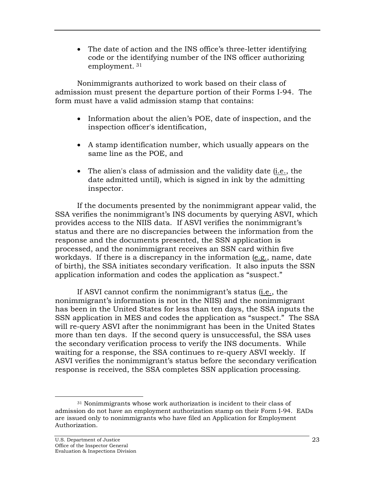• The date of action and the INS office's three-letter identifying code or the identifying number of the INS officer authorizing employment. 31

 Nonimmigrants authorized to work based on their class of admission must present the departure portion of their Forms I-94. The form must have a valid admission stamp that contains:

- Information about the alien's POE, date of inspection, and the inspection officer's identification,
- A stamp identification number, which usually appears on the same line as the POE, and
- The alien's class of admission and the validity date (i.e., the date admitted until), which is signed in ink by the admitting inspector.

 If the documents presented by the nonimmigrant appear valid, the SSA verifies the nonimmigrant's INS documents by querying ASVI, which provides access to the NIIS data. If ASVI verifies the nonimmigrant's status and there are no discrepancies between the information from the response and the documents presented, the SSN application is processed, and the nonimmigrant receives an SSN card within five workdays. If there is a discrepancy in the information (e.g., name, date of birth), the SSA initiates secondary verification. It also inputs the SSN application information and codes the application as "suspect."

 If ASVI cannot confirm the nonimmigrant's status (i.e., the nonimmigrant's information is not in the NIIS) and the nonimmigrant has been in the United States for less than ten days, the SSA inputs the SSN application in MES and codes the application as "suspect." The SSA will re-query ASVI after the nonimmigrant has been in the United States more than ten days. If the second query is unsuccessful, the SSA uses the secondary verification process to verify the INS documents. While waiting for a response, the SSA continues to re-query ASVI weekly. If ASVI verifies the nonimmigrant's status before the secondary verification response is received, the SSA completes SSN application processing.

<sup>&</sup>lt;sup>31</sup> Nonimmigrants whose work authorization is incident to their class of admission do not have an employment authorization stamp on their Form I-94. EADs are issued only to nonimmigrants who have filed an Application for Employment Authorization.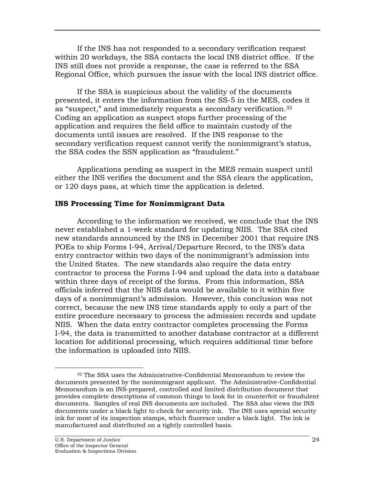<span id="page-29-0"></span> If the INS has not responded to a secondary verification request within 20 workdays, the SSA contacts the local INS district office. If the INS still does not provide a response, the case is referred to the SSA Regional Office, which pursues the issue with the local INS district office.

 If the SSA is suspicious about the validity of the documents presented, it enters the information from the SS-5 in the MES, codes it as "suspect," and immediately requests a secondary verification.32 Coding an application as suspect stops further processing of the application and requires the field office to maintain custody of the documents until issues are resolved. If the INS response to the secondary verification request cannot verify the nonimmigrant's status, the SSA codes the SSN application as "fraudulent."

 Applications pending as suspect in the MES remain suspect until either the INS verifies the document and the SSA clears the application, or 120 days pass, at which time the application is deleted.

#### **INS Processing Time for Nonimmigrant Data**

According to the information we received, we conclude that the INS never established a 1-week standard for updating NIIS. The SSA cited new standards announced by the INS in December 2001 that require INS POEs to ship Forms I-94, Arrival/Departure Record, to the INS's data entry contractor within two days of the nonimmigrant's admission into the United States. The new standards also require the data entry contractor to process the Forms I-94 and upload the data into a database within three days of receipt of the forms. From this information, SSA officials inferred that the NIIS data would be available to it within five days of a nonimmigrant's admission. However, this conclusion was not correct, because the new INS time standards apply to only a part of the entire procedure necessary to process the admission records and update NIIS. When the data entry contractor completes processing the Forms I-94, the data is transmitted to another database contractor at a different location for additional processing, which requires additional time before the information is uploaded into NIIS.

 <sup>32</sup> The SSA uses the Administrative-Confidential Memorandum to review the documents presented by the nonimmigrant applicant. The Administrative-Confidential Memorandum is an INS-prepared, controlled and limited distribution document that provides complete descriptions of common things to look for in counterfeit or fraudulent documents. Samples of real INS documents are included. The SSA also views the INS documents under a black light to check for security ink. The INS uses special security ink for most of its inspection stamps, which fluoresce under a black light. The ink is manufactured and distributed on a tightly controlled basis.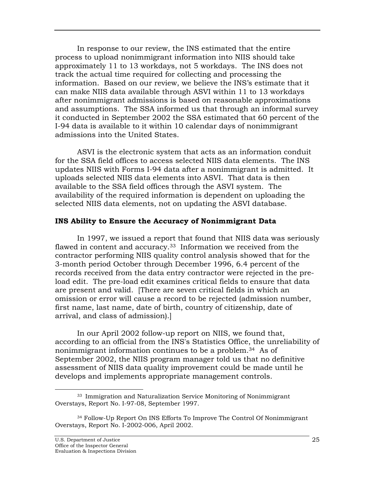<span id="page-30-0"></span>In response to our review, the INS estimated that the entire process to upload nonimmigrant information into NIIS should take approximately 11 to 13 workdays, not 5 workdays. The INS does not track the actual time required for collecting and processing the information. Based on our review, we believe the INS's estimate that it can make NIIS data available through ASVI within 11 to 13 workdays after nonimmigrant admissions is based on reasonable approximations and assumptions. The SSA informed us that through an informal survey it conducted in September 2002 the SSA estimated that 60 percent of the I-94 data is available to it within 10 calendar days of nonimmigrant admissions into the United States.

ASVI is the electronic system that acts as an information conduit for the SSA field offices to access selected NIIS data elements. The INS updates NIIS with Forms I-94 data after a nonimmigrant is admitted. It uploads selected NIIS data elements into ASVI. That data is then available to the SSA field offices through the ASVI system. The availability of the required information is dependent on uploading the selected NIIS data elements, not on updating the ASVI database.

#### **INS Ability to Ensure the Accuracy of Nonimmigrant Data**

 In 1997, we issued a report that found that NIIS data was seriously flawed in content and accuracy.<sup>33</sup> Information we received from the contractor performing NIIS quality control analysis showed that for the 3-month period October through December 1996, 6.4 percent of the records received from the data entry contractor were rejected in the preload edit. The pre-load edit examines critical fields to ensure that data are present and valid. [There are seven critical fields in which an omission or error will cause a record to be rejected (admission number, first name, last name, date of birth, country of citizenship, date of arrival, and class of admission).]

 In our April 2002 follow-up report on NIIS, we found that, according to an official from the INS's Statistics Office, the unreliability of nonimmigrant information continues to be a problem.34 As of September 2002, the NIIS program manager told us that no definitive assessment of NIIS data quality improvement could be made until he develops and implements appropriate management controls.

<sup>&</sup>lt;sup>33</sup> Immigration and Naturalization Service Monitoring of Nonimmigrant Overstays, Report No. I-97-08, September 1997.

<sup>34</sup> Follow-Up Report On INS Efforts To Improve The Control Of Nonimmigrant Overstays, Report No. I-2002-006, April 2002.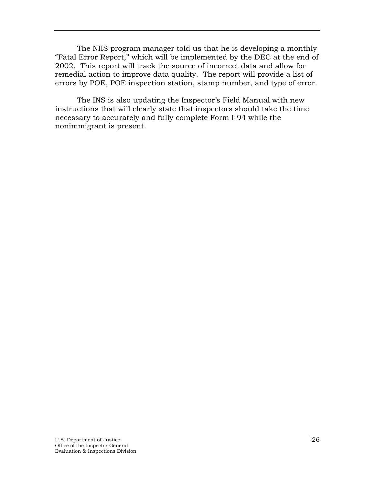The NIIS program manager told us that he is developing a monthly "Fatal Error Report," which will be implemented by the DEC at the end of 2002. This report will track the source of incorrect data and allow for remedial action to improve data quality. The report will provide a list of errors by POE, POE inspection station, stamp number, and type of error.

 The INS is also updating the Inspector's Field Manual with new instructions that will clearly state that inspectors should take the time necessary to accurately and fully complete Form I-94 while the nonimmigrant is present.